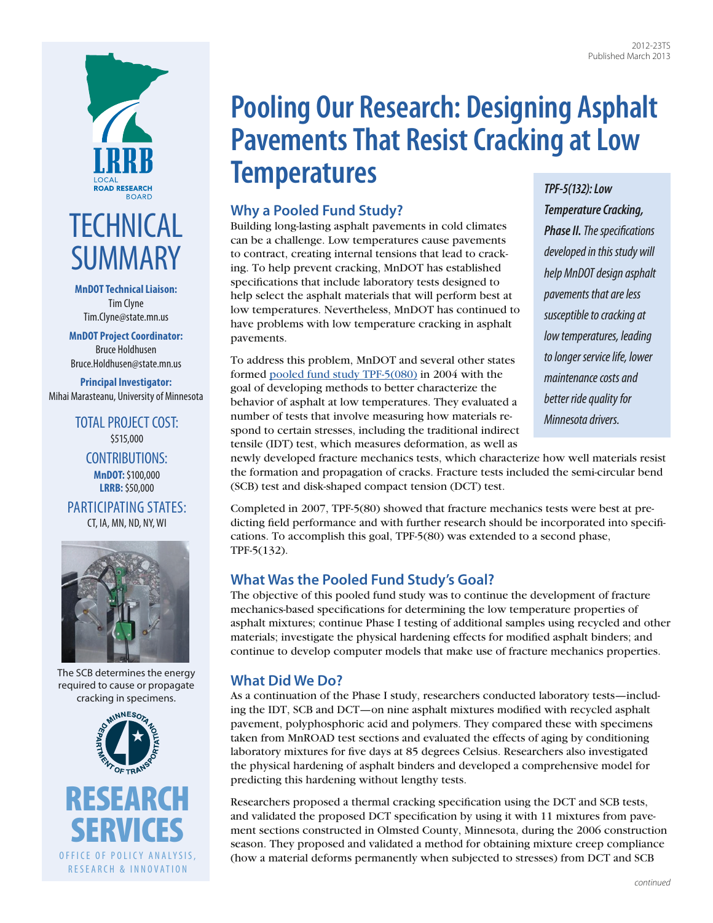

# **TECHNICAL SUMMARY**

**MnDOT Technical Liaison:**  Tim Clyne [Tim.Clyne@state.mn.us](mailto:Tim.Clyne@state.mn.us)

**MnDOT Project Coordinator:**  Bruce Holdhusen [Bruce.Holdhusen@state.mn.us](mailto:Bruce.Holdhusen@state.mn.us)

**Principal Investigator:**  Mihai Marasteanu, University of Minnesota

> TOTAL PROJECT COST: \$515,000 CONTRIBUTIONS: **MnDOT:** \$100,000 **LRRB:** \$50,000

PARTICIPATING STATES: CT, IA, MN, ND, NY, WI



The SCB determines the energy required to cause or propagate cracking in specimens.



# **Pooling Our Research: Designing Asphalt Pavements That Resist Cracking at Low Temperatures**

## **Why a Pooled Fund Study?**

Building long-lasting asphalt pavements in cold climates can be a challenge. Low temperatures cause pavements to contract, creating internal tensions that lead to cracking. To help prevent cracking, MnDOT has established specifications that include laboratory tests designed to help select the asphalt materials that will perform best at low temperatures. Nevertheless, MnDOT has continued to have problems with low temperature cracking in asphalt pavements.

To address this problem, MnDOT and several other states formed [pooled fund study TPF-5\(080\)](http://www.pooledfund.org/Details/Study/311) in 2004 with the goal of developing methods to better characterize the behavior of asphalt at low temperatures. They evaluated a number of tests that involve measuring how materials respond to certain stresses, including the traditional indirect tensile (IDT) test, which measures deformation, as well as

#### *TPF-5(132): Low*

*Temperature Cracking, Phase II. The specifications developed in this study will help MnDOT design asphalt pavements that are less susceptible to cracking at low temperatures, leading to longer service life, lower maintenance costs and better ride quality for Minnesota drivers.* 

newly developed fracture mechanics tests, which characterize how well materials resist the formation and propagation of cracks. Fracture tests included the semi-circular bend (SCB) test and disk-shaped compact tension (DCT) test.

Completed in 2007, TPF-5(80) showed that fracture mechanics tests were best at predicting field performance and with further research should be incorporated into specifications. To accomplish this goal, TPF-5(80) was extended to a second phase, TPF-5(132).

### **What Was the Pooled Fund Study's Goal?**

The objective of this pooled fund study was to continue the development of fracture mechanics-based specifications for determining the low temperature properties of asphalt mixtures; continue Phase I testing of additional samples using recycled and other materials; investigate the physical hardening effects for modified asphalt binders; and continue to develop computer models that make use of fracture mechanics properties.

### **What Did We Do?**

As a continuation of the Phase I study, researchers conducted laboratory tests—including the IDT, SCB and DCT—on nine asphalt mixtures modified with recycled asphalt pavement, polyphosphoric acid and polymers. They compared these with specimens taken from MnROAD test sections and evaluated the effects of aging by conditioning laboratory mixtures for five days at 85 degrees Celsius. Researchers also investigated the physical hardening of asphalt binders and developed a comprehensive model for predicting this hardening without lengthy tests.

Researchers proposed a thermal cracking specification using the DCT and SCB tests, and validated the proposed DCT specification by using it with 11 mixtures from pavement sections constructed in Olmsted County, Minnesota, during the 2006 construction season. They proposed and validated a method for obtaining mixture creep compliance (how a material deforms permanently when subjected to stresses) from DCT and SCB